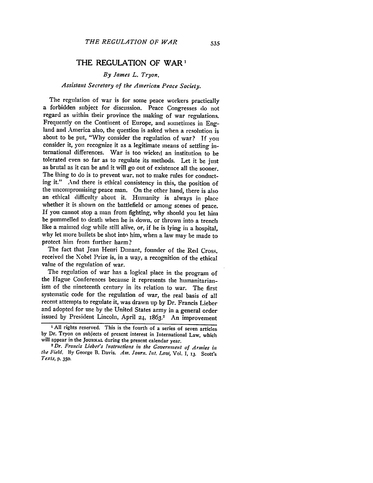## THE **REGULATION** OF WAR'

## *By James L. Tryon,*

## *Assistant Secretary of the American Peace Society.*

The regulation of war is for some peace workers practically a forbidden subject for discussioi. Peace Congresses do not regard as within their province the making of war regulations. Frequently on the Continent of Europe, and sometimes in England and America also, the question is asked when a resolution is about to be put, "Why consider the regulation of war? **If you** consider it, you recognize it as a legitimate means of settling international differences. War is too wicked an institution to be tolerated even so far as to regulate its methods. Let it be just as brutal as it can be and it will go out of existence all the sooner. The thing to do is to prevent war. not to make rules for conducting it." And there is ethical consistency in this, the position of the uncompromising peace man. On the other hand, there is also an ethical difficulty about it. Humanity is always in place whether it is shown on the battlefield or among scenes of peace. If you cannot stop a man from fighting, why should you let him be pummelled to death when he is down. or thrown into a trench like a maimed dog while still alive, or, if he is lying in a hospital, why let more bullets be shot into him, when a law may be made to protect him from further harm?

The fact that Jean Henri Dunant, founder of the Red Cross. received the Nobel Prize is, in a way, a recognition of the ethical value of the regulation of war.

The regulation **of** war has a logical place in the program of the Hague Conferences because it represents the humanitarianism of the nineteenth century in its relation to war. The first systematic code for the regulation of war, the real basis of all recent attempts to regulate it, was drawn up by Dr. Francis Lieber and adopted for use by the United States army in a general order issued by President Lincoln, April  $24$ ,  $1863$ .<sup>2</sup> An improvement

*2Dr. Francis Lieber's Instructions in the Government of Armies in the Field.* By George B. Davis. *Am. Journ. Int. Law, Vol. I, 13. Scott's Texts,* p. **350.**

**I** All rights reserved. This is the fourth of a series of seven articles by Dr. Tryon on subjects of present interest in International Law, which will appear in the **JOURNAL** during the present calendar year.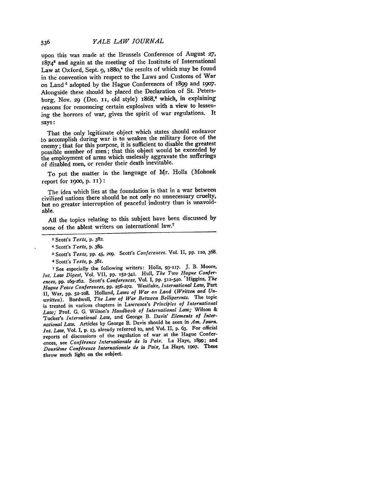**upon** this was made at the Brussels Conference of August **27,** i874' and again at the meeting of the Institute of International Law at Oxford, Sept. 9, 1880,<sup>4</sup> the results of which may be found in the convention with respect to the Laws and Customs of War on Land **'** adopted by the Hague Conferences of 1899 and **1907.** Alongside these should be placed the Declaration of St. Petersburg, Nov. 29 (Dec. 11, old style) 1868,<sup>6</sup> which, in explaining reasons for renouncing certain explosives with a view to lessening the horrors of war, gives the spirit of war regulations. It says:

That the only legitimate object which states should endeavor to accomplish during war is to weaken the military force of the enemy; that for this purpose, it is sufficient to disable the greatest possible number of men; that this object would be exceeded by the employment of arms which uselessly aggravate the sufferings of disabled men, or render their death inevitable.

To put the matter in the language of Mr. Holls (Mohonk report for I9o, p. i **i) :**

The idea which lies at the foundation is that in a war between civilized nations there should be not only no unnecessary cruelty, but no greater interruption of peaceful industry than is unavoidable.

All the topics relating to this subject have been discussed by some of the ablest writers on international law.<sup>7</sup>

**<sup>6</sup>**Scott's *Texts,* p. **381.**

**<sup>7</sup>**See especially the following writers: Holls, **93-117.** J. B. Moore, *Int. Law Digest,* Vol. **VII, pp.** 152-341. Hull, *The Two Hague Confercnces,* pp. 169-262. Scott's *Conferences,* Vol. I, pp. 512-540. 'Higgins, *The Hague Peace Conferences,* pp. **256-272.** Westlake, *International Law,* Part II, War, pp. **52-io8.** Holland, *Laws of War on Land (Written and Un- -written).* Bordwell, *The Law of War Between Belligerents.* The topic is treated in various chapters in Lawrence's *Principles of International Law;* Prof. **G.** G. Wilson's *Handbook of International Law;* Wilson & Tucker's *International Law,* and George B. Davis' *Elements of Interstational Law.* Articles **by** George B. Davis should be seen in *Ant. Journ. nt. Law,* Vol. I, **p. 13,** already referred to, and Vol. II, **p. 63.** For official -eports of discussions of the regulation of war at the Hague Confer- **-ences,** see *Confirence Internationale de la Paix.* La Haye, I899; and *Deuxikmne Confirence Internationale de la Paix,* La Haye, **i9o7.** These throw much light on the subject.

**<sup>3</sup>** Scott's *Texts,* p. **382.**

<sup>4</sup> Scott's *Texts, p.* **389.**

s Scott's *Texts,* pp. 45, **209.** Scott's Conferences. Vol. II, **pp. 110,** 368.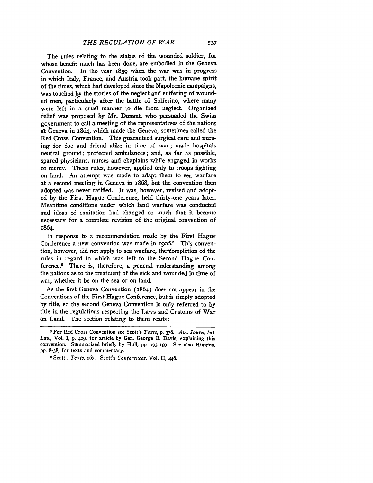The rules relating to the status of the wounded soldier, for whose benefit much has been done, are embodied in the Geneva Convention. In the year 1859 when the war was in progress in which Italy, France, and Austria took part, the humane spirit of the times, which had developed since the Napoleonic campaigns, was touched **by** the stories of the neglect and suffering of wounded men, particularly after the battle of Solferino, where many were left in a cruel manner to die from neglect. Organized relief was proposed by Mr. Dunant, who persuaded the Swiss government to call a meeting of the representatives of the nations at Geneva in 1864, which made the Geneva, sometimes called the Red Cross, Convention. This guaranteed surgical care and nursing for foe and friend alike in time of war; made hospitals neutral ground; protected ambulances; and, as far as possible, spared physicians, nurses and chaplains while engaged in works of mercy. These rules, however, applied only to troops fighting on land. An attempt was made to adapt them to sea warfare at a second meeting in Geneva in 1868, but the convention then adopted was never ratified. It was, however, revised and adopted by the First Hague Conference, held thirty-one years later. Meantime conditions under which land warfare was conducted and ideas of sanitation had changed so much that it became necessary for a complete revision of the original convention of I864.

In response to a recommendation made **by** the First Hague Conference a new convention was made in 1906.<sup>8</sup> This convention, however, did not apply to sea warfare, the completion of the rules in regard to which was left to the Second Hague Conference.9 There is, therefore, a general understanding among the nations as to the treatment of the sick and wounded in time of war, whether it be on the sea or on land.

As the first Geneva Convention (1864) does not appear in the Conventions of the First Hague Conference, but is simply adopted by title, so the second Geneva Convention is only referred to **by** title in the regulations respecting the Laws and Customs of War on Land. The section relating to them reads:

**<sup>8</sup>**For Red Cross Convention see Scott's *Texts,* p. 376. *Am. Journ.* nt. *Law,* Vol. I, p. 409, for article **by** Gen. George B. Davis, explaining this convention. Summarized briefly **by** Hull, pp. **i93-i99.** See also Higgins, pp. **8-38,** for texts and commentary.

**<sup>9</sup>** Scott's *Texts,* 267. Scott's *Conferences,* Vol. II, 446.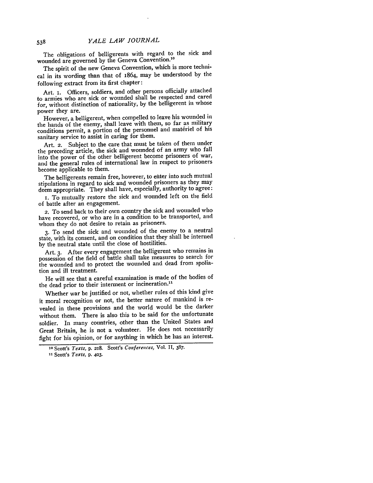The obligations of belligerents with regard to the sick and wounded are governed **by** the Geneva Convention.'"

The spirit of the new Geneva Convention, which is more technical in its wording than that of 1864, may be understood by the following extract from its first chapter:

Art. **i.** Officers, soldiers, and other persons officially attached to armies who are sick or wounded shall be respected and cared for, without distinction of nationality, **by** the belligerent in whose **power** they are.

However, a belligerent, when compelled to leave his wounded in the hands of the enemy, shall leave with them, so far as military conditions permit, a portion of the personnel and matériel of his sanitary service to assist in caring for them.

Art. **2.** Subject to the care that must be taken of them under the preceding article, the sick and wounded of an army who fall into the power of the other belligerent become prisoners of war, and the general rules of international law in respect to prisoners become applicable to them.

The belligerents remain free, however, to enter into such mutual stipulations in regard to sick and wounded prisoners as they may deem appropriate. They shall have, especially, authority to agree:

i. To mutually restore the sick and wounded left on the field of battle after an engagement.

**2.** To send back to their own country the sick and wounded who have recovered, or who are in a condition to be transported, and whom they do not desire to retain as prisoners.

**3.** To send the sick and wounded of the enemy to a neutral state, with its consent, and on condition that they shall be interned **by** the neutral state until the close of hostilities.

Art. **3.** After every engagement the belligerent who remains in possession of the field of battle shall take measures to search for the wounded and to protect the wounded and dead from spoliation and ill treatment.

He will see that a careful examination is made of the bodies of the dead prior to their interment or incineration."

Whether war be justified or not, whether rules of this kind give it moral recognition or not, the better nature of mankind is revealed in these provisions and the world would be the darker without them. There is also this to be said for the unfortunate soldier. In many countries, other than the United States and Great Britain, he is not a volunteer. He does not necessarily fight for his opinion, or for anything in which he has an interest.

**<sup>10</sup>**Scott's *Texts,* **p. 218.** Scott's Conferences, Vol. **II,** 387.

**<sup>11</sup>** Scott's *Texts,* p. 403.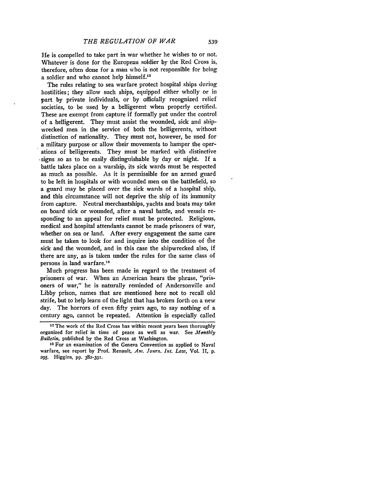He is compelled to take part in war whether he wishes to or not. Whatever is done for the European soldier by the Red Cross is, therefore, often done for a man who is not responsible for being a soldier and who cannot help himself.<sup>12</sup>

The rules relating to sea warfare protect hospital ships during hostilities; they allow such ships, equipped either wholly or in part by private individuals, or by officially recognized relief societies, to be used by a belligerent when properly certified. These are exempt from capture if formally put under the control of a belligerent. They must assist the wounded, sick and shipwrecked men in the service of both the belligerents, without distinction of nationality. They must not, however, be used for a military purpose or allow their movements to hamper the operations of belligerents. They must be marked with distinctive -signs so as to be easily distinguishable by day or night. If a battle takes place on a warship, its sick wards must be respected as much as possible. As it is permissible for an armed guard to be left in hospitals or with wounded men on the battlefield, so a guard may be placed over the sick wards of a hospital ship, and this circumstance will not deprive the ship of its immunity from capture. Neutral merchantships, yachts and boats may take on board sick or wounded, after- a naval battle, and vessels responding to an appeal for relief must be protected. Religious, medical and hospital attendants cannot be made prisoners of war, whether on sea or land. After every engagement the same care must be taken to look for and inquire into the condition of the sick and the wounded, and in this case the shipwrecked also, if there are any, as is taken under the rules for the same class of persons in land warfare.<sup>13</sup>

Much progress has been made in regard to the treatment of prisoners of war. When an American hears the phrase, "prisoners of war," he is naturally reminded of Andersonville and Libby prison, names that are mentioned here not to recall old strife, but to help learn of the light that has broken forth on a new day. The horrors of even fifty years ago, to say nothing of a century ago, cannot be repeated. Attention is especially called

**<sup>22</sup>** The work of the Red Cross has within recent years been thoroughly organized for relief in time of peace as well as war. See *Monthly Bulletin,* published by the Red Cross at Washington.

**<sup>13</sup>**For an examination of the Geneva Convention as applied to Naval warfare, see report by Prof. Renault, *Ant. Journ. Int. Law,* Vol. II, p. **295.** Higgins, pp. 382-391.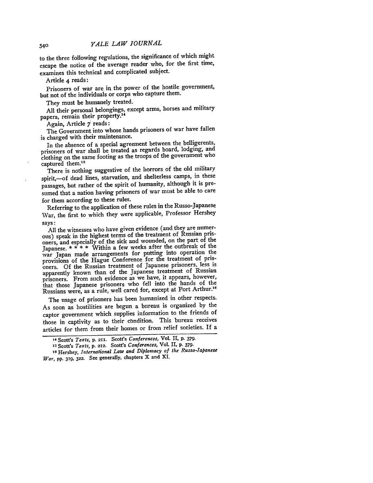to the three following regulations, the significance of which might escape the notice of the average reader who, for the first time, examines this technical and complicated subject.

Article 4 reads:

Prisoners of war are in the power of the hostile government, but not of the individuals or corps who capture them.

They must be humanely treated.

**All** their personal belongings, except arms, horses and military papers, remain their property.<sup>1</sup>

Again, Article *7* reads:

The Government into whose hands prisoners of war have fallen is charged with their maintenance.

In the absence of a special agreement between the belligerents, prisoners of war shall be treated as regards board, lodging, and clothing on the same footing as the troops of the government who captured them.15

There is nothing suggestive of the horrors of the old military spirit,-of dead lines, starvation, and shelterless camps, in these passages, but rather of the spirit of humanity, although it is presumed that a nation having prisoners of war must be able to care for them according to these rules.

Referring to the application of these rules in the Russo-Japanese War, the first to which they were applicable, Professor Hershey says:

**All** the witnesses who have given evidence (and they are numerois) speak in the highest terms of the treatment of Russian prisoners, and especially of the sick and wounded, on the part of the Japanese. **\* \* \* \*** Within a few weeks after the outbreak of the war Japan made arrangements for putting into operation the provisions of the Hague Conference for the treatment of prisoners. Of the Russian treatment of Japanese prisoners, less is apparently known than of the Japanese treatment of Russian prisoners. From such evidence as we have, it appears, however, that those Japanese prisoners who fell into the hands of the Russians were, as a rule, well cared for, except at Port Arthur.<sup>16</sup>

The usage of prisoners has been humanized in other respects. As soon as hostilities are begun a bureau is organized by the captor government which supplies information to the friends of those in captivity as to their condition. This bureau receives articles for them from their homes or from relief societies. If a

<sup>2</sup> Scott's *Texts,* **p. 211.** Scott's *Conferences,* Vol. II, p. *379.*

<sup>&#</sup>x27;3 Scott's *Texts,* **p. 212.** Scott's *Conferences,* Vol. II, p. 379.

**<sup>18</sup>**Hershey, *International Law and Diplomacy of the Russo-Japanese War,* pp. **319, 322.** See generally, chapters X and XI.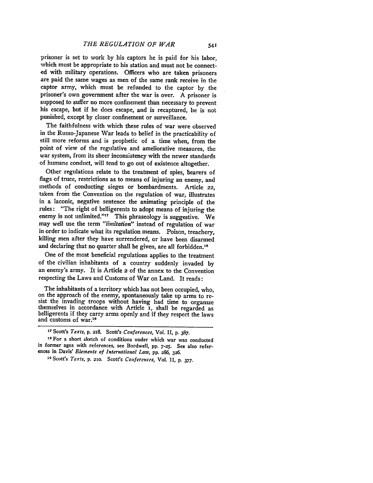prisoner is set to work **by** his captors he is paid for his labor, which must be appropriate to his station and must not be connect**ed** with military operations. Officers who are taken prisoners are paid the same wages as men of the same rank receive in the captor army, which must be refunded to the captor **by** the prisoner's own government after the war is over. **A** prisoner is supposed to suffer no more confinement than necessary to prevent his escape, but if he does escape, and is recaptured, he is not punished, except **by** closer confinement or surveillance.

The faithfulness with which these rules of war were observed in the Russo-Japanese War leads to belief in the practicability of still more reforms and is prophetic of a time when, from the point of view of the regulative and ameliorative measures, the war system, from its sheer inconsistency with the newer standards of humane conduct, will tend to go out of existence altogether.

Other regulations relate to the treatment of spies, bearers of flags of truce, restrictions as to means of injuring an enemy, and methods of conducting sieges or bombardments. Article **22,** taken from the Convention on the regulation of war, illustrates in a laconic, negative sentence the animating principle of the rules: "The right of belligerents to adopt means of injuring the enemy is not unlimited."<sup>17</sup> This phraseology is suggestive. We may well use the term *"limitation"* instead of regulation of war in order to indicate what its regulation means. Poison, treachery, killing men after they have surrendered, or have been disarmed and declaring that no quarter shall be given, are all forbidden.<sup>18</sup>

One of the most beneficial regulations applies to the treatment of the civilian inhabitants of a country suddenly invaded **by** an enemy's army. It is Article 2 of the annex to the Convention respecting the Laws and Customs of War on Land. It reads:

The inhabitants of a territory which has not been occupied, who, on the approach of the enemy, spontaneously take up arms to re-<br>sist the invading troops without having had time to organize themselves in accordance with Article I, shall be regarded as belligerents if they carry arms openly and if they respect the laws and customs of war.<sup>19</sup>

IT Scott's *Texts,* **p. 218.** Scott's *Conferences,* Vol. II, p. **387.**

<sup>&</sup>lt;sup>18</sup> For a short sketch of conditions under which war was conducted in former ages with references, see Bordwell, **pp. 7-25.** See also refer- ences in Davis' *Elenents of International Law,* **pp. 286, 326.**

**<sup>19</sup>** Scott's *Tcxts, p.* **210.** Scott's *Conferences,* Vol. **II,** p. *377.*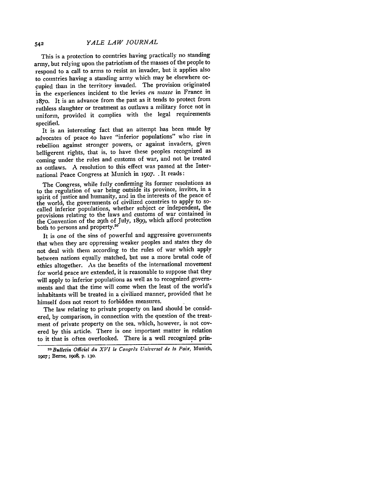This is a protection to countries having practically no standing army, but relying upon the patriotism of the masses of the people to respond to a call to arms to resist an invader, but it applies also to countries having a standing army which may be elsewhere occupied than in the territory invaded. The provision originated in the experiences incident to the levies *en masse* in France in 187o. It is an advance from the past as it tends to protect from ruthless slaughter or treatment as outlaws a military force not in uniform, provided it complies with the legal requirements specified.

It is an interesting fact that an attempt has been made by advocates of peace to have "inferior populations" who rise in rebellion against stronger powers, or against invaders, given belligerent rights, that is, to have these peoples recognized as coming under the rules and customs of war, and not be treated as outlaws. A resolution to this effect was passed at the International Peace Congress at Munich in 19o7. **.**It reads:

The Congress, while fully confirming its former resolutions as to the regulation of war being outside its province, invites, in a spirit of justice and humanity, and in the interests of the peace of the world, the governments of civilized countries to apply to socalled inferior populations, whether subject or independent, the provisions relating to the laws and customs of war contained in the Convention of the 29th of July, 1899, which afford protection both to persons and property.<sup>20</sup>

It is one of the sins of powerful and aggressive governments that when they are oppressing weaker peoples and states they do not deal with them according to the rules of war which apply between nations equally matched, but use a more brutal code of ethics altogether. As the benefits of the international movement for world peace are extended, it is reasonable to suppose that they will apply to inferior populations as well as to recognized governments and that the time will come when the least of the world's inhabitants will be treated in a civilized manner, provided that he himself does not resort to forbidden measures.

The law relating to private property on land should be considered, by comparison, in connection with the question of the treatment of private property on the sea. which, however, is not covered by this article. There is one important matter in relation to it that is often overlooked. There is a well recognized prin-

<sup>&</sup>lt;sup>20</sup> Bulletin Officiel du XVI le Congrès Universal de la Paix, Munich, 19o7; Berne, **i908,** p. **130.**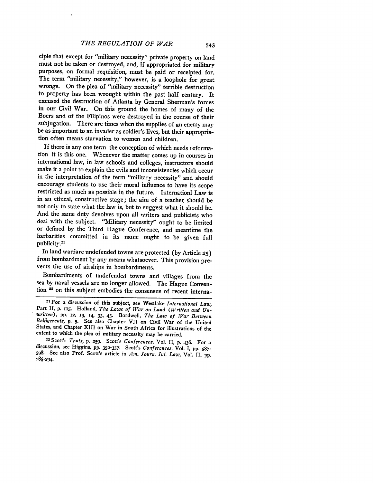ciple that except for "military necessity" private property on land must not be taken or destroyed, and, if appropriated for military purposes, on formal requisition, must be paid or receipted for. The term "military necessity," however, is a loophole for great wrongs. On the plea of "military necessity" terrible destruction to property has been wrought within the past half century. It excused the destruction of Atlanta by General Sherman's forces in our Civil War. On this ground the homes of many of the Boers and of the Filipinos were destroyed in the course of their subjugation. There are times when the supplies of an enemy may be as important to an invader as soldier's lives, but their appropriation often means starvation to women and children.

If there is any one tern the conception of which needs reformation it is this one. Whenever the matter comes up in courses in international law, in law schools and colleges, instructors should make it a point to explain the evils and inconsistencies which occur in the interpretation of the term "military necessity" and should encourage students to use their moral influence to have its scope restricted as much as possible in the future. Internationl Law is in an ethical, constructive stage; the aim of a teacher should be not **only** to state what the **law** is, but to suggest what it should be. And the same duty devolves upon all writers and publicists who deal with the subject. "Military necessity" ought to be limited or defined **by** the Third Hague Conference, and meantime the barbarities committed in its name ought to be given full publicity.<sup>21</sup>

In land warfare undefended towns are protected **(by** Article **25)** from bombardment **by** any means whatsoever. This provision prevents the use of airships in bombardments.

Bombardments of undefended towns and villages from the sea **by** naval vessels are no longer allowed. The Hague Convention **22** on this subject embodies the consensus of recent interna-

**<sup>22</sup>**Scott's *Texts,* **p.** 259. Scott's *Conferences,* Vol. **II,** p. 436. For a discussion, see Higgins, pp. **352-357.** Scott's *Confercnccs.* Vol. **I,** pp. **587- 598.** See also Prof. Scott's article in *Ant. Journ. Int. Law,* Vol. **II, pp.** 285-294.

**<sup>21</sup>**For a discussion of this subject, see Westlake *International Law,* Part II, p. 115. Holland, *The Laws of War on Land (Written and Un-written)*, pp. 12, 13, 14, 33, 43. Bordwell, *The Law of War Between Belligerents, p.* **5.** See also Chapter VII on Civil War of the United States, and Chapter.XIII on War in South Africa for illustrations of the extent to which the plea of military necessity may be carried.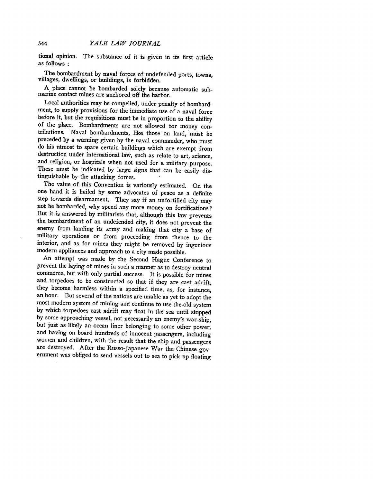tional opinion. The substance of it is given in its first article as follows

The bombardment **by** naval forces of undefended ports, towns, villages, dwellings, or buildings, is forbidden.

**<sup>A</sup>**place cannot be bombarded solely because automatic sub- marine contact mines are anchored off the harbor.

Local authorities may be compelled, under penalty of bombardment, to supply provisions for the immediate use of a naval force before it, but the requisitions must be in proportion to the ability of the place. Bombardments are not allowed for money contributions. Naval bombardments, like those on land, must be preceded **by** a warning given **by** the naval commander, who must do his utmost to spare certain buildings which are exempt from destruction under international law, such as relate to art, science, and religion, or hospitals when not used for a military purpose. These must be indicated by large signs that can be easily distinguishable **by** the attacking forces.

The value of this Convention is variously estimated. On the one hand it is hailed **by** some advocates of peace as a definite step towards disarmament. They say if an unfortified city may not be bombarded, why spend any more money on fortifications? But it is answered **by** militarists that, although this **law** prevents the bombardment of an undefended city, it does not prevent the enemy from landing its army and making that city a base of military operations or from proceeding from thence to the interior, and as for mines they might be removed **by** ingenious modern appliances and approach to a city made possible.

An attempt was made by the Second Hague Conference to prevent the laying of mines in such a manner as to destroy neutral commerce, but with only partial success. It is possible for mines and torpedoes to **be** constructed so that if they are cast adrift, they become harmless within a specified time, as, for instance, an hour. But several of the nations are unable as yet to adopt the by which torpedoes cast adrift may float in the sea until stopped<br>by some approaching vessel, not necessarily an enemy's war-ship,<br>but just as likely an ocean liner belonging to some other power, and having on board hundreds of innocent passengers, including women and children, with the result that the ship and passengers are destroyed. After the Russo-Japanese War the Chinese gov- **ernment** was obliged to send vessels out to sea to pick up floating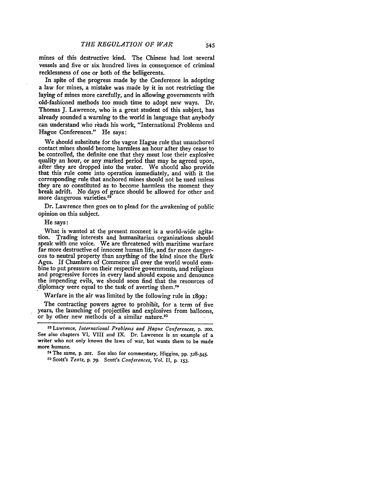mines of this destructive kind. The Chinese had lost several vessels and five or six hundred lives in consequence of criminal recklessness of one or both of the belligerents.

In spite of the progress made **by** the Conference in adopting a law for mines, a mistake was made **by** it in not restricting the laying of mines more carefully, and in allowing governments with old-fashioned methods too much time to adopt new ways. Dr. Thomas **J.** Lawrence, who is a great student of this subject, has already sounded a warning to the world in language that anybody can understand who reads his work, "International Problems and Hague Conferences." He says:

We should substitute for the vague Hague rule that unanchored contact mines should become harmless an hour after they cease to be controlled, the definite one that they must lose their explosive quality an hour, or any marked period that may be agreed upon, after they are dropped into the water. We should also provide that this rule come into operation immediately, and with it the corresponding rule that anchored mines should not be used unless they are so constituted as to become harmless the moment they break adrift. No days of grace should be allowed for other **and** more dangerous varieties.<sup>25</sup>

Dr. Lawrence then goes on to plead for the awakening of public opinion on this subject.

## He says:

What is wanted at the present moment is a world-wide agitation. Trading interests and humanitarian organizations should speak with one voice. We are threatened with maritime warfare far more destructive of innocent human life, and far more dangerous to neutral property than anything of the kind since the Dark Ages. If Chambers of Commerce all over the world would combine to put pressure on their respective governments, and religious and progressive forces in every land should expose and denounce the impending evils, we should soon find that the resources of diplomacy were equal to the task of averting them.<sup>24</sup>

Warfare in the air was limited **by** the following rule in **1899:**

The contracting powers agree to prohibit, for a term of five years, the launching of projectiles and explosives from balloons, or by other new methods of a similar nature.<sup>23</sup>

**<sup>23</sup>**Lawrence, *International Problems and Hague Conferences, p.* **200.** See also chapters VI, VIII and IX. Dr. Lawrence is an example of a writer who not only knows the laws of war, but wants them to be made more humane.

**<sup>24</sup>**The same, p. 2oi. See also for commentary, Higgins, pp. **328-345. 25** Scott's *Texts,* **p.** *79.* Scott's *Conferences,* Vol. **II, p. 153.**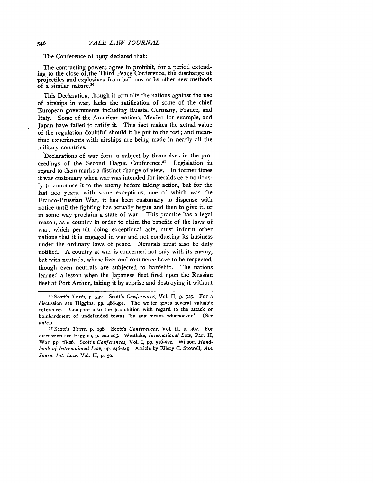The Conference of 19o7 declared that:

The contracting powers agree to prohibit, for a period extending to the close of the Third Peace Conference, the discharge of projectiles and explosives from balloons or by other new methods of a similar nature. $26$ 

This Declaration, though it commits the nations against the use of airships in war, lacks the ratification of some of the chief European governments including Russia, Germany, France, and Italy. Some of the American nations, Mexico for example, and Japan have failed to ratify it. This fact makes the actual value of the regulation doubtful should it be put to the test; and meantime experiments with airships are being made in nearly all the military countries.

Declarations of war form a subject by themselves in the proceedings of the Second Hague Conference.27 Legislation in regard to them marks a distinct change of view. In former times it was customary when war was intended for heralds ceremoniously to announce it to the enemy before taking action, but for the last **200** years, with some exceptions, one of which was the Franco-Prussian War, it has been customary to dispense with notice until the fighting has actually begun and then to give it, or in some way proclaim a state of war. This practice has a legal reason, as a country in order to claim the benefits of the laws of war, which permit doing exceptional acts, must inform other nations that it is engaged in war and not conducting its business under the ordinary laws of peace. Neutrals must also be duly notified. A country at war is concerned not only with its enemy, but with neutrals, whose lives and commerce have to be respected, though even neutrals are subjected to hardship. The nations learned a lesson when the Japanese fleet fired upon the Russian fleet at Port Arthur, taking it by suprise and destroying it without

**<sup>2</sup>G** Scott's *Texts,* p. **332.** Scott's *Conferences,* Vol. II, p. **525.** For a discussion see Higgins, **pp.** 488-491. The writer gives several valuable references. Compare also the prohibition with regard to the attack or bombardment of undefended towns "by any means whatsoever." (See *ante.)*

**<sup>27</sup>**Scott's *Texts,* **p.** 198. Scott's *Conferences,* Vol. II, p. 362. For discussion see Higgins, **p. 202-2o5.** Westlake, *International Law,* Part II, War, **pp.** 18-26. Scott's *Conferences,* Vol. I, **pp.** 516-522. Wilson, *Handbook of International Law,* **pp.** 246-249. Article **by** Ellery **C.** Stowell, *Aim. Journ. Int. Law,* Vol. II, P. **50.**